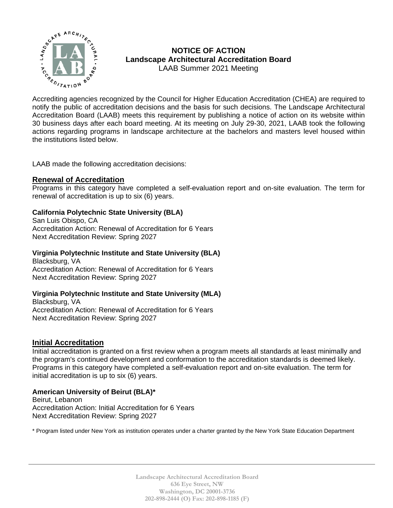

# **NOTICE OF ACTION Landscape Architectural Accreditation Board**  LAAB Summer 2021 Meeting

 $\sum_{\mathcal{P}_{\epsilon_{0}}}\sum_{\mathcal{P}_{\epsilon_{1}}\sim\mathcal{P}_{\epsilon_{2}}}\mathcal{P}_{\epsilon_{3}}$  . LACL USING UNITED USING  $\mathcal{P}_{\epsilon_{3}}$ notify the public of accreditation decisions and the basis for such decisions. The Landscape Architectural Accreditation Board (LAAB) meets this requirement by publishing a notice of action on its website within 30 business days after each board meeting. At its meeting on July 29-30, 2021, LAAB took the following actions regarding programs in landscape architecture at the bachelors and masters level housed within the institutions listed below.

LAAB made the following accreditation decisions:

# **Renewal of Accreditation**

Programs in this category have completed a self-evaluation report and on-site evaluation. The term for renewal of accreditation is up to six (6) years.

#### **California Polytechnic State University (BLA)**

San Luis Obispo, CA Accreditation Action: Renewal of Accreditation for 6 Years Next Accreditation Review: Spring 2027

#### **Virginia Polytechnic Institute and State University (BLA)**

Blacksburg, VA Accreditation Action: Renewal of Accreditation for 6 Years Next Accreditation Review: Spring 2027

# **Virginia Polytechnic Institute and State University (MLA)**

Blacksburg, VA Accreditation Action: Renewal of Accreditation for 6 Years Next Accreditation Review: Spring 2027

# **Initial Accreditation**

Initial accreditation is granted on a first review when a program meets all standards at least minimally and the program's continued development and conformation to the accreditation standards is deemed likely. Programs in this category have completed a self-evaluation report and on-site evaluation. The term for initial accreditation is up to six (6) years.

#### **American University of Beirut (BLA)\***

Beirut, Lebanon Accreditation Action: Initial Accreditation for 6 Years Next Accreditation Review: Spring 2027

\* Program listed under New York as institution operates under a charter granted by the New York State Education Department

**Landscape Architectural Accreditation Board 636 Eye Street, NW Washington, DC 20001-3736 202-898-2444 (O) Fax: 202-898-1185 (F)**